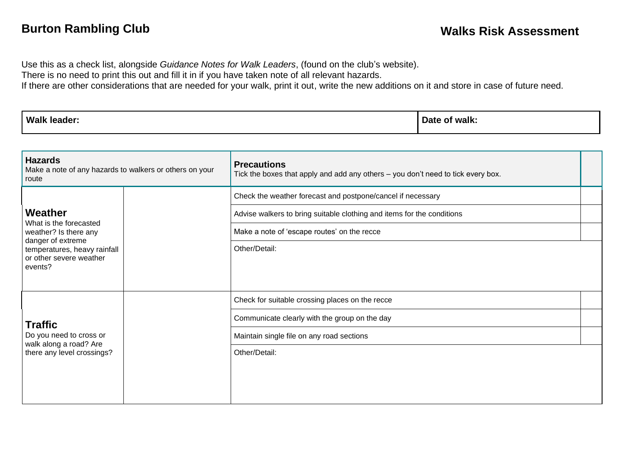Use this as a check list, alongside *Guidance Notes for Walk Leaders*, (found on the club's website).

There is no need to print this out and fill it in if you have taken note of all relevant hazards.

If there are other considerations that are needed for your walk, print it out, write the new additions on it and store in case of future need.

| Walk<br>leader <sup>.</sup> | ∵walk:<br>Date<br>. OI |
|-----------------------------|------------------------|
|-----------------------------|------------------------|

| <b>Hazards</b><br>Make a note of any hazards to walkers or others on your<br>route                                                                    |  | <b>Precautions</b><br>Tick the boxes that apply and add any others - you don't need to tick every box.                                |  |
|-------------------------------------------------------------------------------------------------------------------------------------------------------|--|---------------------------------------------------------------------------------------------------------------------------------------|--|
| Weather<br>What is the forecasted<br>weather? Is there any<br>danger of extreme<br>temperatures, heavy rainfall<br>or other severe weather<br>events? |  | Check the weather forecast and postpone/cancel if necessary<br>Advise walkers to bring suitable clothing and items for the conditions |  |
|                                                                                                                                                       |  | Make a note of 'escape routes' on the recce                                                                                           |  |
|                                                                                                                                                       |  | Other/Detail:                                                                                                                         |  |
| <b>Traffic</b><br>Do you need to cross or<br>walk along a road? Are<br>there any level crossings?                                                     |  | Check for suitable crossing places on the recce                                                                                       |  |
|                                                                                                                                                       |  | Communicate clearly with the group on the day                                                                                         |  |
|                                                                                                                                                       |  | Maintain single file on any road sections                                                                                             |  |
|                                                                                                                                                       |  | Other/Detail:                                                                                                                         |  |